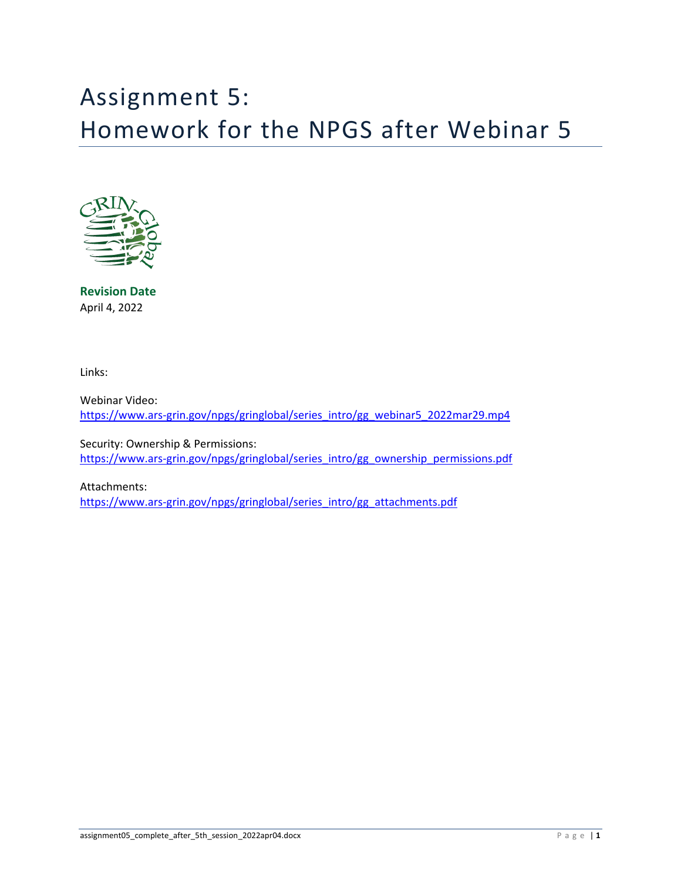# Assignment 5: Homework for the NPGS after Webinar 5



**Revision Date** April 4, 2022

Links:

Webinar Video: [https://www.ars-grin.gov/npgs/gringlobal/series\\_intro/gg\\_webinar5\\_2022mar29.mp4](https://www.ars-grin.gov/npgs/gringlobal/series_intro/gg_webinar5_2022mar29.mp4)

Security: Ownership & Permissions: [https://www.ars-grin.gov/npgs/gringlobal/series\\_intro/gg\\_ownership\\_permissions.pdf](https://www.ars-grin.gov/npgs/gringlobal/series_intro/gg_ownership_permissions.pdf)

Attachments: [https://www.ars-grin.gov/npgs/gringlobal/series\\_intro/gg\\_attachments.pdf](https://www.ars-grin.gov/npgs/gringlobal/series_intro/gg_attachments.pdf)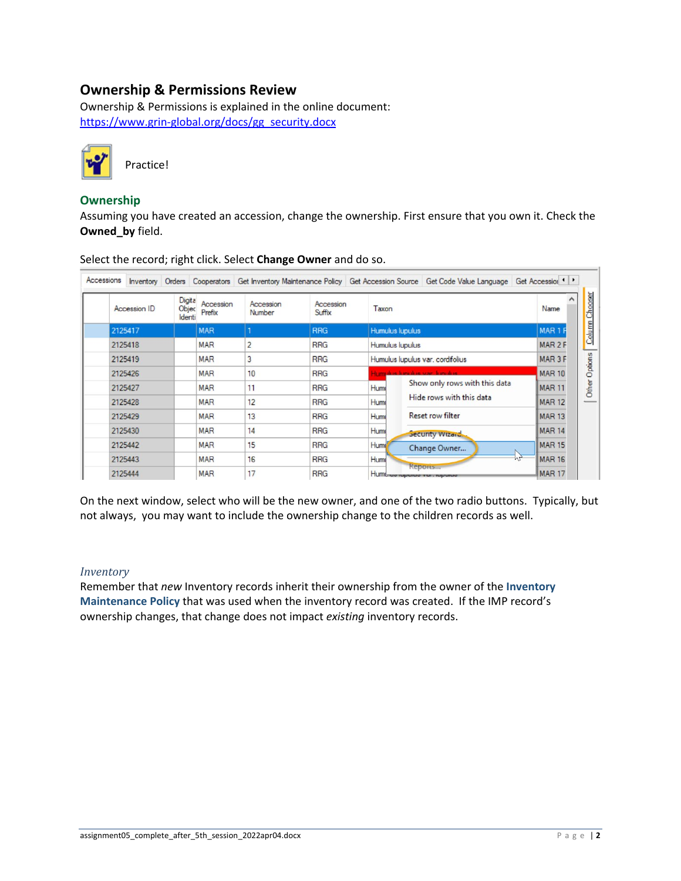# **Ownership & Permissions Review**

Ownership & Permissions is explained in the online document: [https://www.grin-global.org/docs/gg\\_security.docx](https://www.grin-global.org/docs/gg_security.docx)



## **Ownership**

Assuming you have created an accession, change the ownership. First ensure that you own it. Check the **Owned\_by** field.

| Accession ID                | Digita<br>Accession<br>Objec<br>Prefix<br>Identi | Accession<br>Number | Accession<br>Suffix | Taxon           |                                               | Name               |
|-----------------------------|--------------------------------------------------|---------------------|---------------------|-----------------|-----------------------------------------------|--------------------|
| 2125417                     | <b>MAR</b>                                       |                     | <b>RRG</b>          | Humulus lupulus |                                               | MAR <sub>1</sub> F |
| 2125418                     | <b>MAR</b>                                       | $\overline{2}$      | <b>RRG</b>          | Humulus lupulus |                                               | MAR <sub>2</sub> F |
| 2125419                     | <b>MAR</b>                                       | 3                   | <b>RRG</b>          |                 | Humulus lupulus var. cordifolius              | MAR <sub>3</sub> F |
| 2125426                     | <b>MAR</b>                                       | 10                  | <b>RRG</b>          |                 | dominica longitud var. Innotice               | <b>MAR 10</b>      |
| 2125427                     | <b>MAR</b>                                       | 11                  | <b>RRG</b>          | Hum             | Show only rows with this data                 | <b>MAR 11</b>      |
| 2125428                     | <b>MAR</b>                                       | 12                  | <b>RRG</b>          | Hum             | Hide rows with this data                      | <b>MAR 12</b>      |
| 2125429                     | <b>MAR</b>                                       | 13                  | <b>RRG</b>          | Humi            | <b>Reset row filter</b>                       | <b>MAR 13</b>      |
| 2125430                     | <b>MAR</b>                                       | 14                  | <b>RRG</b>          | Hum             | Security Wizard                               | <b>MAR 14</b>      |
| 2125442                     | <b>MAR</b>                                       | 15                  | <b>RRG</b>          | Humi            | Change Owner                                  | <b>MAR 15</b>      |
| 2125443                     | <b>MAR</b>                                       | 16                  | <b>RRG</b>          | Hum             |                                               | <b>MAR 16</b>      |
| 17<br>2125444<br><b>MAR</b> |                                                  |                     | <b>RRG</b>          |                 | <b>Reports</b><br>Humunda repence van repence | <b>MAR 17</b>      |

Select the record; right click. Select **Change Owner** and do so.

On the next window, select who will be the new owner, and one of the two radio buttons. Typically, but not always, you may want to include the ownership change to the children records as well.

### *Inventory*

Remember that *new* Inventory records inherit their ownership from the owner of the **Inventory Maintenance Policy** that was used when the inventory record was created. If the IMP record's ownership changes, that change does not impact *existing* inventory records.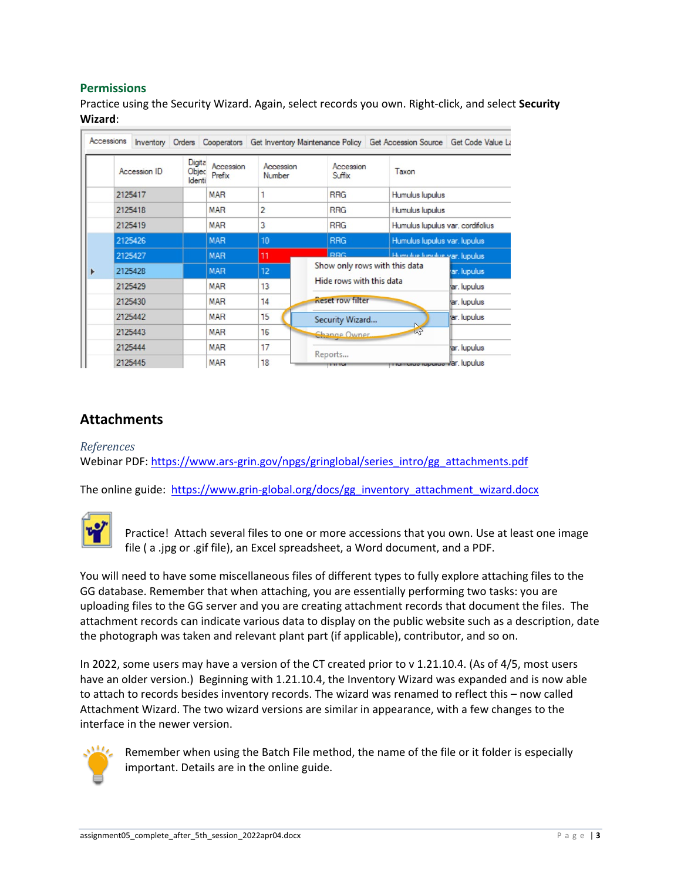## **Permissions**

Practice using the Security Wizard. Again, select records you own. Right-click, and select **Security Wizard**:

|   | Accessions |              |                           |                     |                     |                                            |                           |                          | Inventory Orders Cooperators Get Inventory Maintenance Policy Get Accession Source Get Code Value La |  |
|---|------------|--------------|---------------------------|---------------------|---------------------|--------------------------------------------|---------------------------|--------------------------|------------------------------------------------------------------------------------------------------|--|
|   |            | Accession ID | Digita<br>Objec<br>Identi | Accession<br>Prefix | Accession<br>Number |                                            | Accession<br>Suffix       | Taxon                    |                                                                                                      |  |
|   |            | 2125417      |                           | <b>MAR</b>          |                     |                                            | <b>RRG</b>                | Humulus lupulus          |                                                                                                      |  |
|   |            | 2125418      |                           | <b>MAR</b>          | 2                   |                                            | <b>RRG</b>                | Humulus lupulus          |                                                                                                      |  |
|   |            | 2125419      |                           | <b>MAR</b>          | 3                   |                                            | <b>RRG</b>                |                          | Humulus lupulus var. cordifolius                                                                     |  |
|   |            | 2125426      |                           | <b>MAR</b>          | 10                  |                                            | <b>RRG</b>                |                          | Humulus lupulus var. lupulus                                                                         |  |
|   |            | 2125427      |                           | <b>MAR</b>          | 11                  |                                            | <b>RRG</b>                |                          | Homele is front the yar, lupulus                                                                     |  |
| ▶ |            | 2125428      |                           | <b>MAR</b>          | 12 <sup>2</sup>     | Show only rows with this data              |                           |                          | ar. lupulus                                                                                          |  |
|   |            | 2125429      |                           | <b>MAR</b>          | 13                  |                                            |                           | Hide rows with this data | ar. Iupulus                                                                                          |  |
|   |            | 2125430      |                           | <b>MAR</b>          | 14                  | <b>Reset row filter</b><br>Security Wizard |                           | ar. lupulus              |                                                                                                      |  |
|   |            | 2125442      |                           | <b>MAR</b>          | 15                  |                                            |                           |                          | ar. lupulus                                                                                          |  |
|   |            | 2125443      |                           | <b>MAR</b>          | 16                  |                                            | 44<br><b>Change Owner</b> |                          |                                                                                                      |  |
|   |            | 2125444      |                           | <b>MAR</b>          | 17                  |                                            |                           |                          | ar. lupulus                                                                                          |  |
|   |            | 2125445      |                           | <b>MAR</b>          | 18                  |                                            | Reports<br>1111           |                          | <b>TTTurnaras raperas var. lupulus</b>                                                               |  |

## **Attachments**

#### *References*

Webinar PDF: [https://www.ars-grin.gov/npgs/gringlobal/series\\_intro/gg\\_attachments.pdf](https://www.ars-grin.gov/npgs/gringlobal/series_intro/gg_attachments.pdf)

The online guide: [https://www.grin-global.org/docs/gg\\_inventory\\_attachment\\_wizard.docx](https://www.grin-global.org/docs/gg_inventory_attachment_wizard.docx)



Practice! Attach several files to one or more accessions that you own. Use at least one image file ( a .jpg or .gif file), an Excel spreadsheet, a Word document, and a PDF.

You will need to have some miscellaneous files of different types to fully explore attaching files to the GG database. Remember that when attaching, you are essentially performing two tasks: you are uploading files to the GG server and you are creating attachment records that document the files. The attachment records can indicate various data to display on the public website such as a description, date the photograph was taken and relevant plant part (if applicable), contributor, and so on.

In 2022, some users may have a version of the CT created prior to v 1.21.10.4. (As of 4/5, most users have an older version.) Beginning with 1.21.10.4, the Inventory Wizard was expanded and is now able to attach to records besides inventory records. The wizard was renamed to reflect this – now called Attachment Wizard. The two wizard versions are similar in appearance, with a few changes to the interface in the newer version.



Remember when using the Batch File method, the name of the file or it folder is especially important. Details are in the online guide.